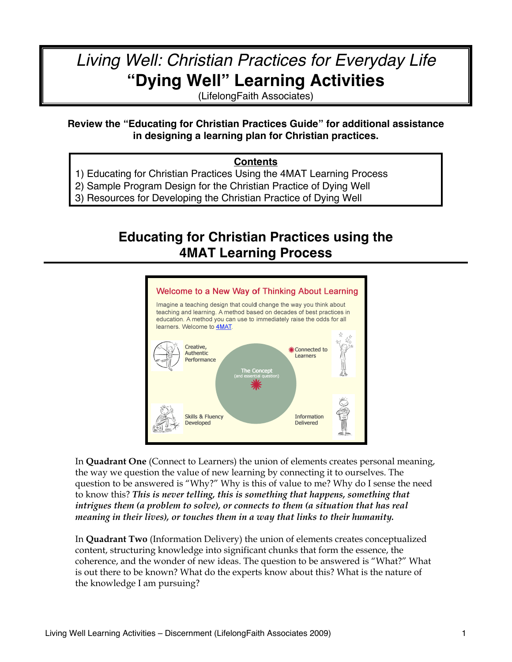# *Living Well: Christian Practices for Everyday Life* **"Dying Well" Learning Activities**

(LifelongFaith Associates)

#### **Review the "Educating for Christian Practices Guide" for additional assistance in designing a learning plan for Christian practices.**

#### **Contents**

- 1) Educating for Christian Practices Using the 4MAT Learning Process
- 2) Sample Program Design for the Christian Practice of Dying Well
- 3) Resources for Developing the Christian Practice of Dying Well

# **Educating for Christian Practices using the 4MAT Learning Process**



In **Quadrant One** (Connect to Learners) the union of elements creates personal meaning, the way we question the value of new learning by connecting it to ourselves. The question to be answered is "Why?" Why is this of value to me? Why do I sense the need to know this? *This is never telling, this is something that happens, something that intrigues them (a problem to solve), or connects to them (a situation that has real meaning in their lives), or touches them in a way that links to their humanity.*

In **Quadrant Two** (Information Delivery) the union of elements creates conceptualized content, structuring knowledge into significant chunks that form the essence, the coherence, and the wonder of new ideas. The question to be answered is "What?" What is out there to be known? What do the experts know about this? What is the nature of the knowledge I am pursuing?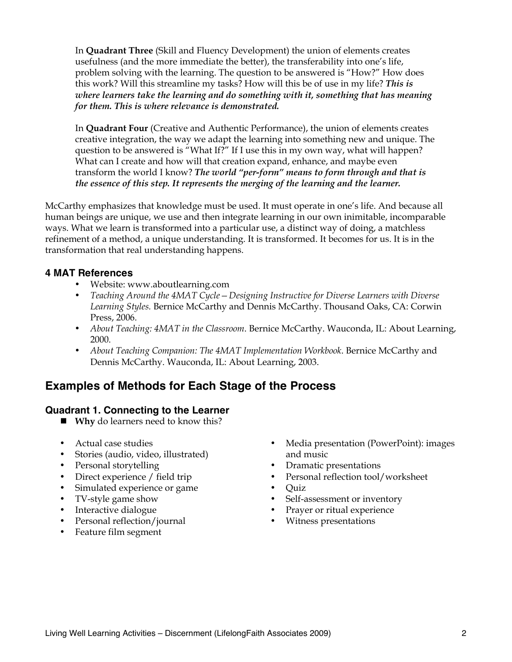In **Quadrant Three** (Skill and Fluency Development) the union of elements creates usefulness (and the more immediate the better), the transferability into one's life, problem solving with the learning. The question to be answered is "How?" How does this work? Will this streamline my tasks? How will this be of use in my life? *This is where learners take the learning and do something with it, something that has meaning for them. This is where relevance is demonstrated.* 

In **Quadrant Four** (Creative and Authentic Performance), the union of elements creates creative integration, the way we adapt the learning into something new and unique. The question to be answered is "What If?" If I use this in my own way, what will happen? What can I create and how will that creation expand, enhance, and maybe even transform the world I know? *The world "per-form" means to form through and that is the essence of this step. It represents the merging of the learning and the learner.*

McCarthy emphasizes that knowledge must be used. It must operate in one's life. And because all human beings are unique, we use and then integrate learning in our own inimitable, incomparable ways. What we learn is transformed into a particular use, a distinct way of doing, a matchless refinement of a method, a unique understanding. It is transformed. It becomes for us. It is in the transformation that real understanding happens.

#### **4 MAT References**

- Website: www.aboutlearning.com
- *Teaching Around the 4MAT Cycle—Designing Instructive for Diverse Learners with Diverse Learning Styles.* Bernice McCarthy and Dennis McCarthy. Thousand Oaks, CA: Corwin Press, 2006.
- *About Teaching: 4MAT in the Classroom*. Bernice McCarthy. Wauconda, IL: About Learning, 2000.
- *About Teaching Companion: The 4MAT Implementation Workbook*. Bernice McCarthy and Dennis McCarthy. Wauconda, IL: About Learning, 2003.

## **Examples of Methods for Each Stage of the Process**

#### **Quadrant 1. Connecting to the Learner**

- **Why** do learners need to know this?
- Actual case studies
- Stories (audio, video, illustrated)
- Personal storytelling
- Direct experience / field trip
- Simulated experience or game
- TV-style game show
- Interactive dialogue
- Personal reflection/journal
- Feature film segment
- Media presentation (PowerPoint): images and music
- Dramatic presentations
- Personal reflection tool/worksheet
- Quiz
- Self-assessment or inventory
- Prayer or ritual experience
- Witness presentations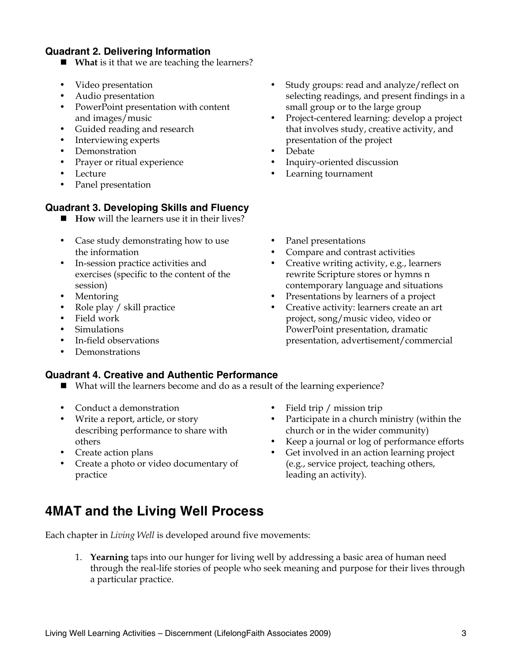#### **Quadrant 2. Delivering Information**

- **What** is it that we are teaching the learners?
- Video presentation
- Audio presentation
- PowerPoint presentation with content and images/music
- Guided reading and research
- Interviewing experts
- Demonstration
- Prayer or ritual experience
- **Lecture**
- Panel presentation

#### **Quadrant 3. Developing Skills and Fluency**

- **How** will the learners use it in their lives?
- Case study demonstrating how to use the information
- In-session practice activities and exercises (specific to the content of the session)
- **Mentoring**
- Role play / skill practice
- Field work
- Simulations
- In-field observations
- Demonstrations

#### **Quadrant 4. Creative and Authentic Performance**

- What will the learners become and do as a result of the learning experience?
- Conduct a demonstration
- Write a report, article, or story describing performance to share with others
- Create action plans
- Create a photo or video documentary of practice
- Field trip / mission trip
- Participate in a church ministry (within the church or in the wider community)
- Keep a journal or log of performance efforts
- Get involved in an action learning project (e.g., service project, teaching others, leading an activity).

# **4MAT and the Living Well Process**

Each chapter in *Living Well* is developed around five movements:

1. **Yearning** taps into our hunger for living well by addressing a basic area of human need through the real-life stories of people who seek meaning and purpose for their lives through a particular practice.

- Study groups: read and analyze/reflect on selecting readings, and present findings in a small group or to the large group
- Project-centered learning: develop a project that involves study, creative activity, and presentation of the project
- Debate
- Inquiry-oriented discussion
- Learning tournament
- Panel presentations
- Compare and contrast activities
- Creative writing activity, e.g., learners rewrite Scripture stores or hymns n contemporary language and situations
- Presentations by learners of a project
- Creative activity: learners create an art project, song/music video, video or PowerPoint presentation, dramatic presentation, advertisement/commercial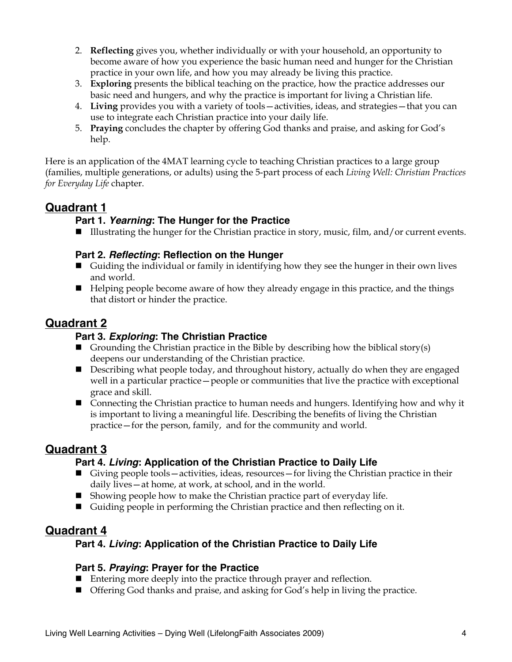- 2. **Reflecting** gives you, whether individually or with your household, an opportunity to become aware of how you experience the basic human need and hunger for the Christian practice in your own life, and how you may already be living this practice.
- 3. **Exploring** presents the biblical teaching on the practice, how the practice addresses our basic need and hungers, and why the practice is important for living a Christian life.
- 4. **Living** provides you with a variety of tools—activities, ideas, and strategies—that you can use to integrate each Christian practice into your daily life.
- 5. **Praying** concludes the chapter by offering God thanks and praise, and asking for God's help.

Here is an application of the 4MAT learning cycle to teaching Christian practices to a large group (families, multiple generations, or adults) using the 5-part process of each *Living Well: Christian Practices for Everyday Life* chapter.

## **Quadrant 1**

#### **Part 1.** *Yearning***: The Hunger for the Practice**

Illustrating the hunger for the Christian practice in story, music, film, and/or current events.

#### **Part 2.** *Reflecting***: Reflection on the Hunger**

- Guiding the individual or family in identifying how they see the hunger in their own lives and world.
- Helping people become aware of how they already engage in this practice, and the things that distort or hinder the practice.

## **Quadrant 2**

#### **Part 3.** *Exploring***: The Christian Practice**

- Grounding the Christian practice in the Bible by describing how the biblical story(s) deepens our understanding of the Christian practice.
- **Describing what people today, and throughout history, actually do when they are engaged** well in a particular practice—people or communities that live the practice with exceptional grace and skill.
- Connecting the Christian practice to human needs and hungers. Identifying how and why it is important to living a meaningful life. Describing the benefits of living the Christian practice—for the person, family, and for the community and world.

## **Quadrant 3**

#### **Part 4.** *Living***: Application of the Christian Practice to Daily Life**

- Giving people tools—activities, ideas, resources—for living the Christian practice in their daily lives—at home, at work, at school, and in the world.
- $\blacksquare$  Showing people how to make the Christian practice part of everyday life.
- Guiding people in performing the Christian practice and then reflecting on it.

## **Quadrant 4**

#### **Part 4.** *Living***: Application of the Christian Practice to Daily Life**

#### **Part 5.** *Praying***: Prayer for the Practice**

- Entering more deeply into the practice through prayer and reflection.
- Offering God thanks and praise, and asking for God's help in living the practice.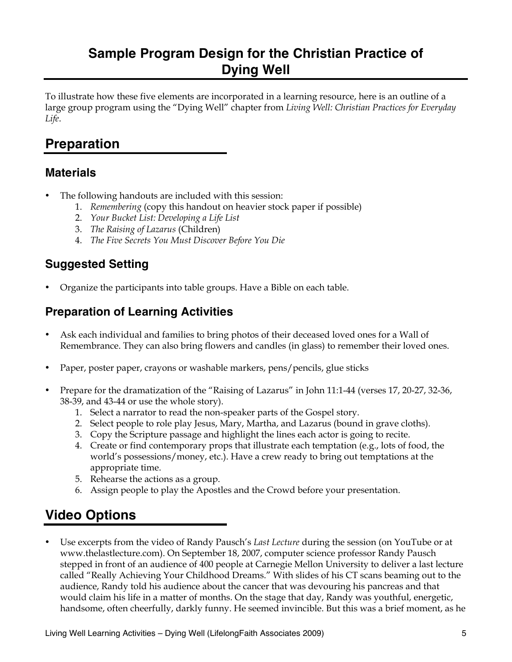# **Sample Program Design for the Christian Practice of Dying Well**

To illustrate how these five elements are incorporated in a learning resource, here is an outline of a large group program using the "Dying Well" chapter from *Living Well: Christian Practices for Everyday Life*.

# **Preparation**

## **Materials**

- The following handouts are included with this session:
	- 1. *Remembering* (copy this handout on heavier stock paper if possible)
	- 2. *Your Bucket List: Developing a Life List*
	- 3. *The Raising of Lazarus* (Children)
	- 4. *The Five Secrets You Must Discover Before You Die*

# **Suggested Setting**

• Organize the participants into table groups. Have a Bible on each table.

# **Preparation of Learning Activities**

- Ask each individual and families to bring photos of their deceased loved ones for a Wall of Remembrance. They can also bring flowers and candles (in glass) to remember their loved ones.
- Paper, poster paper, crayons or washable markers, pens/pencils, glue sticks
- Prepare for the dramatization of the "Raising of Lazarus" in John 11:1-44 (verses 17, 20-27, 32-36, 38-39, and 43-44 or use the whole story).
	- 1. Select a narrator to read the non-speaker parts of the Gospel story.
	- 2. Select people to role play Jesus, Mary, Martha, and Lazarus (bound in grave cloths).
	- 3. Copy the Scripture passage and highlight the lines each actor is going to recite.
	- 4. Create or find contemporary props that illustrate each temptation (e.g., lots of food, the world's possessions/money, etc.). Have a crew ready to bring out temptations at the appropriate time.
	- 5. Rehearse the actions as a group.
	- 6. Assign people to play the Apostles and the Crowd before your presentation.

# **Video Options**

• Use excerpts from the video of Randy Pausch's *Last Lecture* during the session (on YouTube or at www.thelastlecture.com). On September 18, 2007, computer science professor Randy Pausch stepped in front of an audience of 400 people at Carnegie Mellon University to deliver a last lecture called "Really Achieving Your Childhood Dreams." With slides of his CT scans beaming out to the audience, Randy told his audience about the cancer that was devouring his pancreas and that would claim his life in a matter of months. On the stage that day, Randy was youthful, energetic, handsome, often cheerfully, darkly funny. He seemed invincible. But this was a brief moment, as he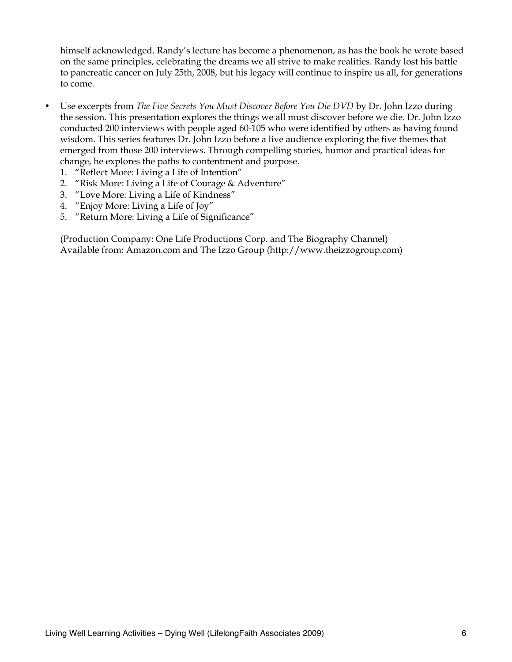himself acknowledged. Randy's lecture has become a phenomenon, as has the book he wrote based on the same principles, celebrating the dreams we all strive to make realities. Randy lost his battle to pancreatic cancer on July 25th, 2008, but his legacy will continue to inspire us all, for generations to come.

- Use excerpts from *The Five Secrets You Must Discover Before You Die DVD* by Dr. John Izzo during the session. This presentation explores the things we all must discover before we die. Dr. John Izzo conducted 200 interviews with people aged 60-105 who were identified by others as having found wisdom. This series features Dr. John Izzo before a live audience exploring the five themes that emerged from those 200 interviews. Through compelling stories, humor and practical ideas for change, he explores the paths to contentment and purpose.
	- 1. "Reflect More: Living a Life of Intention"
	- 2. "Risk More: Living a Life of Courage & Adventure"
	- 3. "Love More: Living a Life of Kindness"
	- 4. "Enjoy More: Living a Life of Joy"
	- 5. "Return More: Living a Life of Significance"

(Production Company: One Life Productions Corp. and The Biography Channel) Available from: Amazon.com and The Izzo Group (http://www.theizzogroup.com)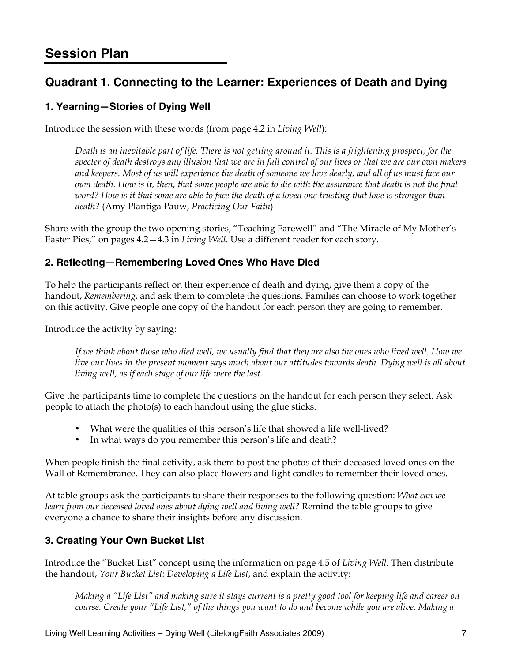# **Session Plan**

# **Quadrant 1. Connecting to the Learner: Experiences of Death and Dying**

#### **1. Yearning—Stories of Dying Well**

Introduce the session with these words (from page 4.2 in *Living Well*):

*Death is an inevitable part of life. There is not getting around it. This is a frightening prospect, for the specter of death destroys any illusion that we are in full control of our lives or that we are our own makers and keepers. Most of us will experience the death of someone we love dearly, and all of us must face our own death. How is it, then, that some people are able to die with the assurance that death is not the final word? How is it that some are able to face the death of a loved one trusting that love is stronger than death?* (Amy Plantiga Pauw, *Practicing Our Faith*)

Share with the group the two opening stories, "Teaching Farewell" and "The Miracle of My Mother's Easter Pies," on pages 4.2—4.3 in *Living Well*. Use a different reader for each story.

#### **2. Reflecting—Remembering Loved Ones Who Have Died**

To help the participants reflect on their experience of death and dying, give them a copy of the handout, *Remembering*, and ask them to complete the questions. Families can choose to work together on this activity. Give people one copy of the handout for each person they are going to remember.

Introduce the activity by saying:

*If we think about those who died well, we usually find that they are also the ones who lived well. How we live our lives in the present moment says much about our attitudes towards death. Dying well is all about living well, as if each stage of our life were the last.* 

Give the participants time to complete the questions on the handout for each person they select. Ask people to attach the photo(s) to each handout using the glue sticks.

- What were the qualities of this person's life that showed a life well-lived?
- In what ways do you remember this person's life and death?

When people finish the final activity, ask them to post the photos of their deceased loved ones on the Wall of Remembrance. They can also place flowers and light candles to remember their loved ones.

At table groups ask the participants to share their responses to the following question: *What can we*  learn from our deceased loved ones about dying well and living well? Remind the table groups to give everyone a chance to share their insights before any discussion.

#### **3. Creating Your Own Bucket List**

Introduce the "Bucket List" concept using the information on page 4.5 of *Living Well*. Then distribute the handout, *Your Bucket List: Developing a Life List*, and explain the activity:

*Making a "Life List" and making sure it stays current is a pretty good tool for keeping life and career on course. Create your "Life List," of the things you want to do and become while you are alive. Making a*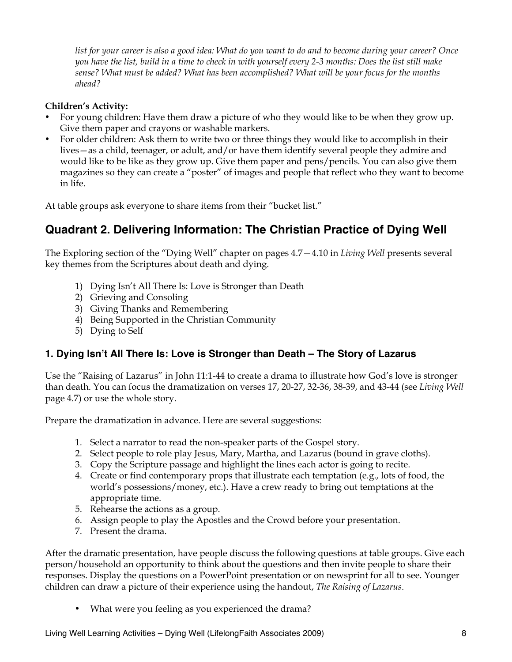*list for your career is also a good idea: What do you want to do and to become during your career? Once you have the list, build in a time to check in with yourself every 2-3 months: Does the list still make sense? What must be added? What has been accomplished? What will be your focus for the months ahead?* 

#### **Children's Activity:**

- For young children: Have them draw a picture of who they would like to be when they grow up. Give them paper and crayons or washable markers.
- For older children: Ask them to write two or three things they would like to accomplish in their lives—as a child, teenager, or adult, and/or have them identify several people they admire and would like to be like as they grow up. Give them paper and pens/pencils. You can also give them magazines so they can create a "poster" of images and people that reflect who they want to become in life.

At table groups ask everyone to share items from their "bucket list."

# **Quadrant 2. Delivering Information: The Christian Practice of Dying Well**

The Exploring section of the "Dying Well" chapter on pages 4.7—4.10 in *Living Well* presents several key themes from the Scriptures about death and dying.

- 1) Dying Isn't All There Is: Love is Stronger than Death
- 2) Grieving and Consoling
- 3) Giving Thanks and Remembering
- 4) Being Supported in the Christian Community
- 5) Dying to Self

#### **1. Dying Isn't All There Is: Love is Stronger than Death – The Story of Lazarus**

Use the "Raising of Lazarus" in John 11:1-44 to create a drama to illustrate how God's love is stronger than death. You can focus the dramatization on verses 17, 20-27, 32-36, 38-39, and 43-44 (see *Living Well* page 4.7) or use the whole story.

Prepare the dramatization in advance. Here are several suggestions:

- 1. Select a narrator to read the non-speaker parts of the Gospel story.
- 2. Select people to role play Jesus, Mary, Martha, and Lazarus (bound in grave cloths).
- 3. Copy the Scripture passage and highlight the lines each actor is going to recite.
- 4. Create or find contemporary props that illustrate each temptation (e.g., lots of food, the world's possessions/money, etc.). Have a crew ready to bring out temptations at the appropriate time.
- 5. Rehearse the actions as a group.
- 6. Assign people to play the Apostles and the Crowd before your presentation.
- 7. Present the drama.

After the dramatic presentation, have people discuss the following questions at table groups. Give each person/household an opportunity to think about the questions and then invite people to share their responses. Display the questions on a PowerPoint presentation or on newsprint for all to see. Younger children can draw a picture of their experience using the handout, *The Raising of Lazarus*.

• What were you feeling as you experienced the drama?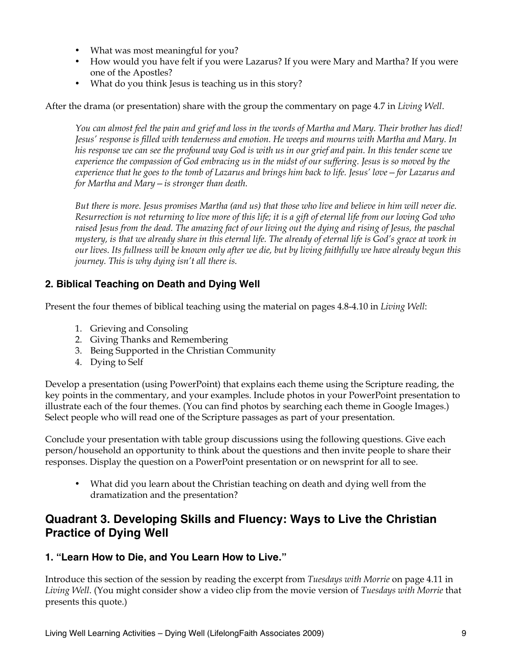- What was most meaningful for you?
- How would you have felt if you were Lazarus? If you were Mary and Martha? If you were one of the Apostles?
- What do you think Jesus is teaching us in this story?

After the drama (or presentation) share with the group the commentary on page 4.7 in *Living Well*.

*You can almost feel the pain and grief and loss in the words of Martha and Mary. Their brother has died! Jesus' response is filled with tenderness and emotion. He weeps and mourns with Martha and Mary. In his response we can see the profound way God is with us in our grief and pain. In this tender scene we experience the compassion of God embracing us in the midst of our suffering. Jesus is so moved by the experience that he goes to the tomb of Lazarus and brings him back to life. Jesus' love—for Lazarus and for Martha and Mary—is stronger than death.*

*But there is more. Jesus promises Martha (and us) that those who live and believe in him will never die. Resurrection is not returning to live more of this life; it is a gift of eternal life from our loving God who raised Jesus from the dead. The amazing fact of our living out the dying and rising of Jesus, the paschal mystery, is that we already share in this eternal life. The already of eternal life is God's grace at work in our lives. Its fullness will be known only after we die, but by living faithfully we have already begun this journey. This is why dying isn't all there is.*

#### **2. Biblical Teaching on Death and Dying Well**

Present the four themes of biblical teaching using the material on pages 4.8-4.10 in *Living Well*:

- 1. Grieving and Consoling
- 2. Giving Thanks and Remembering
- 3. Being Supported in the Christian Community
- 4. Dying to Self

Develop a presentation (using PowerPoint) that explains each theme using the Scripture reading, the key points in the commentary, and your examples. Include photos in your PowerPoint presentation to illustrate each of the four themes. (You can find photos by searching each theme in Google Images.) Select people who will read one of the Scripture passages as part of your presentation.

Conclude your presentation with table group discussions using the following questions. Give each person/household an opportunity to think about the questions and then invite people to share their responses. Display the question on a PowerPoint presentation or on newsprint for all to see.

• What did you learn about the Christian teaching on death and dying well from the dramatization and the presentation?

# **Quadrant 3. Developing Skills and Fluency: Ways to Live the Christian Practice of Dying Well**

#### **1. "Learn How to Die, and You Learn How to Live."**

Introduce this section of the session by reading the excerpt from *Tuesdays with Morrie* on page 4.11 in *Living Well*. (You might consider show a video clip from the movie version of *Tuesdays with Morrie* that presents this quote.)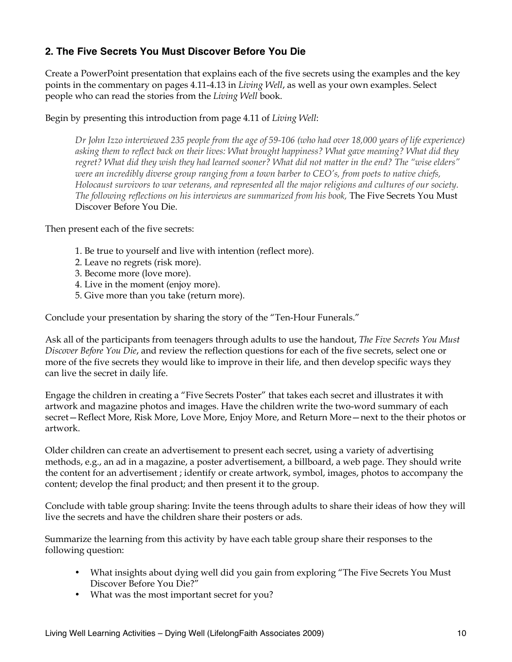#### **2. The Five Secrets You Must Discover Before You Die**

Create a PowerPoint presentation that explains each of the five secrets using the examples and the key points in the commentary on pages 4.11-4.13 in *Living Well*, as well as your own examples. Select people who can read the stories from the *Living Well* book.

Begin by presenting this introduction from page 4.11 of *Living Well*:

*Dr John Izzo interviewed 235 people from the age of 59-106 (who had over 18,000 years of life experience) asking them to reflect back on their lives: What brought happiness? What gave meaning? What did they regret? What did they wish they had learned sooner? What did not matter in the end? The "wise elders" were an incredibly diverse group ranging from a town barber to CEO's, from poets to native chiefs, Holocaust survivors to war veterans, and represented all the major religions and cultures of our society. The following reflections on his interviews are summarized from his book,* The Five Secrets You Must Discover Before You Die.

Then present each of the five secrets:

- 1. Be true to yourself and live with intention (reflect more).
- 2. Leave no regrets (risk more).
- 3. Become more (love more).
- 4. Live in the moment (enjoy more).
- 5. Give more than you take (return more).

Conclude your presentation by sharing the story of the "Ten-Hour Funerals."

Ask all of the participants from teenagers through adults to use the handout, *The Five Secrets You Must Discover Before You Die*, and review the reflection questions for each of the five secrets, select one or more of the five secrets they would like to improve in their life, and then develop specific ways they can live the secret in daily life.

Engage the children in creating a "Five Secrets Poster" that takes each secret and illustrates it with artwork and magazine photos and images. Have the children write the two-word summary of each secret—Reflect More, Risk More, Love More, Enjoy More, and Return More—next to the their photos or artwork.

Older children can create an advertisement to present each secret, using a variety of advertising methods, e.g., an ad in a magazine, a poster advertisement, a billboard, a web page. They should write the content for an advertisement ; identify or create artwork, symbol, images, photos to accompany the content; develop the final product; and then present it to the group.

Conclude with table group sharing: Invite the teens through adults to share their ideas of how they will live the secrets and have the children share their posters or ads.

Summarize the learning from this activity by have each table group share their responses to the following question:

- What insights about dying well did you gain from exploring "The Five Secrets You Must Discover Before You Die?"
- What was the most important secret for you?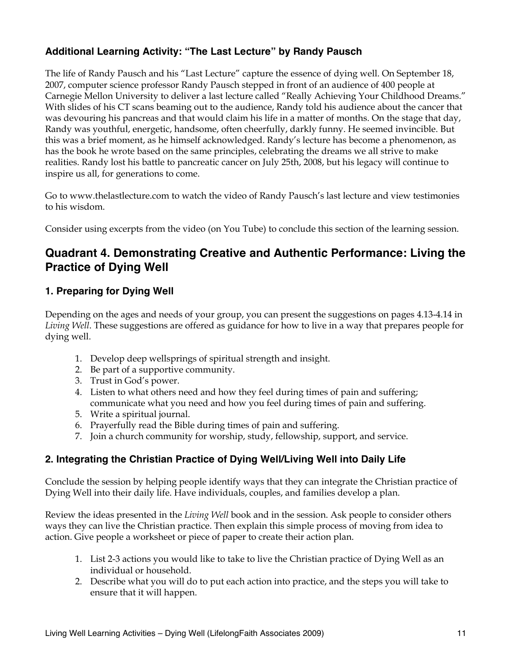#### **Additional Learning Activity: "The Last Lecture" by Randy Pausch**

The life of Randy Pausch and his "Last Lecture" capture the essence of dying well. On September 18, 2007, computer science professor Randy Pausch stepped in front of an audience of 400 people at Carnegie Mellon University to deliver a last lecture called "Really Achieving Your Childhood Dreams." With slides of his CT scans beaming out to the audience, Randy told his audience about the cancer that was devouring his pancreas and that would claim his life in a matter of months. On the stage that day, Randy was youthful, energetic, handsome, often cheerfully, darkly funny. He seemed invincible. But this was a brief moment, as he himself acknowledged. Randy's lecture has become a phenomenon, as has the book he wrote based on the same principles, celebrating the dreams we all strive to make realities. Randy lost his battle to pancreatic cancer on July 25th, 2008, but his legacy will continue to inspire us all, for generations to come.

Go to www.thelastlecture.com to watch the video of Randy Pausch's last lecture and view testimonies to his wisdom.

Consider using excerpts from the video (on You Tube) to conclude this section of the learning session.

## **Quadrant 4. Demonstrating Creative and Authentic Performance: Living the Practice of Dying Well**

#### **1. Preparing for Dying Well**

Depending on the ages and needs of your group, you can present the suggestions on pages 4.13-4.14 in *Living Well*. These suggestions are offered as guidance for how to live in a way that prepares people for dying well.

- 1. Develop deep wellsprings of spiritual strength and insight.
- 2. Be part of a supportive community.
- 3. Trust in God's power.
- 4. Listen to what others need and how they feel during times of pain and suffering; communicate what you need and how you feel during times of pain and suffering.
- 5. Write a spiritual journal.
- 6. Prayerfully read the Bible during times of pain and suffering.
- 7. Join a church community for worship, study, fellowship, support, and service.

#### **2. Integrating the Christian Practice of Dying Well/Living Well into Daily Life**

Conclude the session by helping people identify ways that they can integrate the Christian practice of Dying Well into their daily life. Have individuals, couples, and families develop a plan.

Review the ideas presented in the *Living Well* book and in the session. Ask people to consider others ways they can live the Christian practice. Then explain this simple process of moving from idea to action. Give people a worksheet or piece of paper to create their action plan.

- 1. List 2-3 actions you would like to take to live the Christian practice of Dying Well as an individual or household.
- 2. Describe what you will do to put each action into practice, and the steps you will take to ensure that it will happen.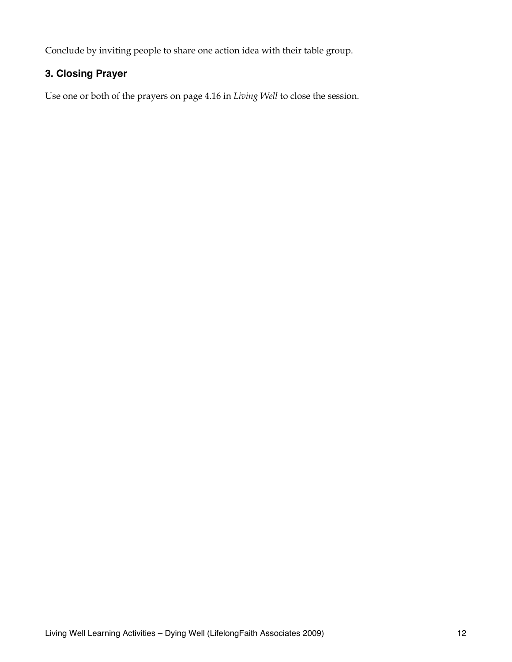Conclude by inviting people to share one action idea with their table group.

#### **3. Closing Prayer**

Use one or both of the prayers on page 4.16 in *Living Well* to close the session.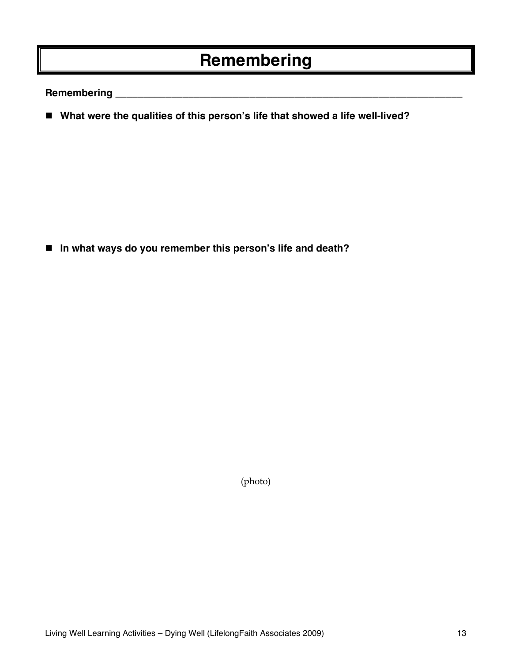# **Remembering**

**Remembering \_\_\_\_\_\_\_\_\_\_\_\_\_\_\_\_\_\_\_\_\_\_\_\_\_\_\_\_\_\_\_\_\_\_\_\_\_\_\_\_\_\_\_\_\_\_\_\_\_\_\_\_\_\_\_\_\_\_\_\_\_\_**

■ What were the qualities of this person's life that showed a life well-lived?

**In what ways do you remember this person's life and death?** 

(photo)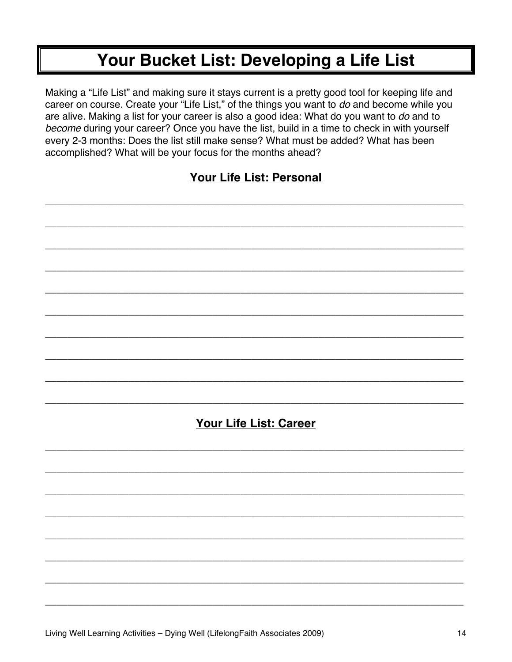# Your Bucket List: Developing a Life List

Making a "Life List" and making sure it stays current is a pretty good tool for keeping life and career on course. Create your "Life List," of the things you want to do and become while you are alive. Making a list for your career is also a good idea: What do you want to do and to become during your career? Once you have the list, build in a time to check in with yourself every 2-3 months: Does the list still make sense? What must be added? What has been accomplished? What will be your focus for the months ahead?

# Your Life List: Personal

# **Your Life List: Career**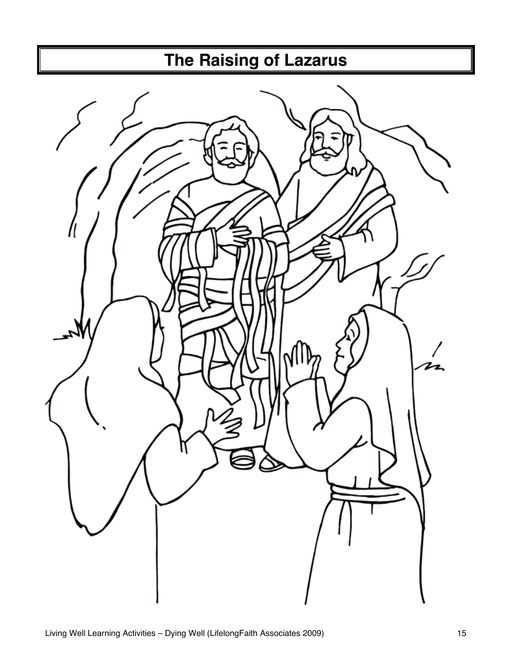# **The Raising of Lazarus**

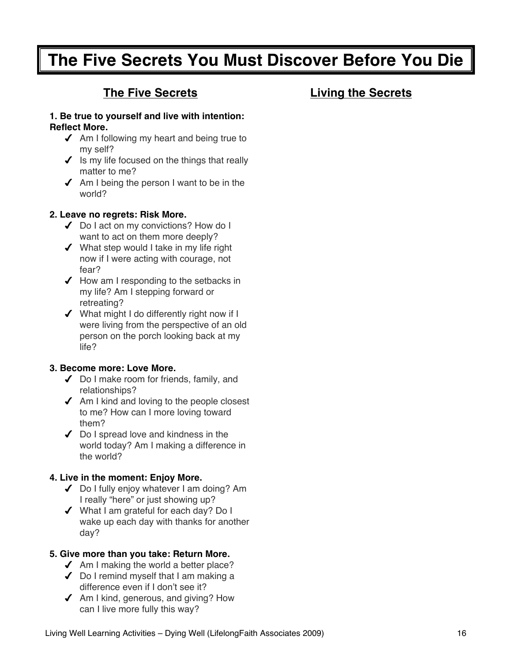# **The Five Secrets You Must Discover Before You Die**

# **The Five Secrets**

# **Living the Secrets**

#### **1. Be true to yourself and live with intention: Reflect More.**

- $\triangleleft$  Am I following my heart and being true to my self?
- $\checkmark$  is my life focused on the things that really matter to me?
- $\triangleleft$  Am I being the person I want to be in the world?

#### **2. Leave no regrets: Risk More.**

- ◆ Do I act on my convictions? How do I want to act on them more deeply?
- ◆ What step would I take in my life right now if I were acting with courage, not fear?
- $\blacktriangleright$  How am I responding to the setbacks in my life? Am I stepping forward or retreating?
- What might I do differently right now if I were living from the perspective of an old person on the porch looking back at my life?

#### **3. Become more: Love More.**

- ◆ Do I make room for friends, family, and relationships?
- $\triangleleft$  Am I kind and loving to the people closest to me? How can I more loving toward them?
- $\triangleleft$  Do I spread love and kindness in the world today? Am I making a difference in the world?

#### **4. Live in the moment: Enjoy More.**

- ◆ Do I fully enjoy whatever I am doing? Am I really "here" or just showing up?
- What I am grateful for each day? Do I wake up each day with thanks for another day?

#### **5. Give more than you take: Return More.**

- $\triangleleft$  Am I making the world a better place?
- Do I remind myself that I am making a difference even if I don't see it?
- $\triangleleft$  Am I kind, generous, and giving? How can I live more fully this way?